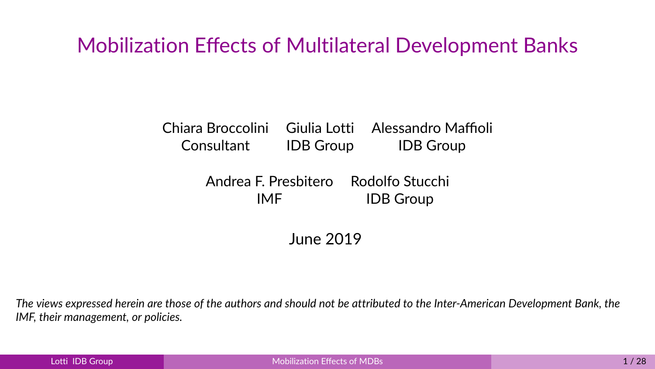## <span id="page-0-0"></span>Mobilization Effects of Multilateral Development Banks

#### Chiara Broccolini Giulia Lotti Alessandro Maffioli Consultant IDB Group IDB Group

Andrea F. Presbitero Rodolfo Stucchi IMF IDB Group

June 2019

*The views expressed herein are those of the authors and should not be attributed to the Inter-American Development Bank, the IMF, their management, or policies.*

| Lotti IDB Group, |  |
|------------------|--|
|                  |  |
|                  |  |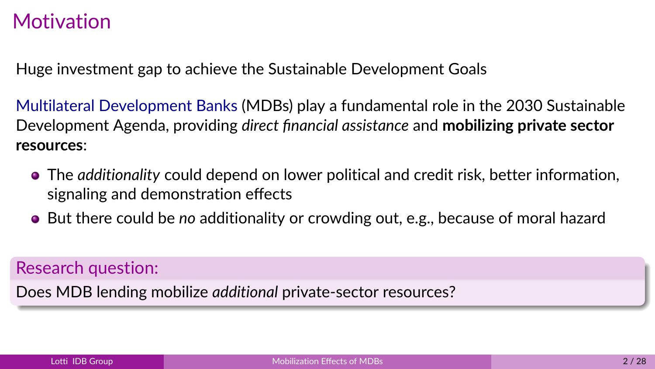## **Motivation**

Huge investment gap to achieve the Sustainable Development Goals

Multilateral Development Banks (MDBs) play a fundamental role in the 2030 Sustainable Development Agenda, providing *direct financial assistance* and **mobilizing private sector resources**:

- The *additionality* could depend on lower political and credit risk, better information, signaling and demonstration effects
- But there could be *no* additionality or crowding out, e.g., because of moral hazard

#### Research question:

Does MDB lending mobilize *additional* private-sector resources?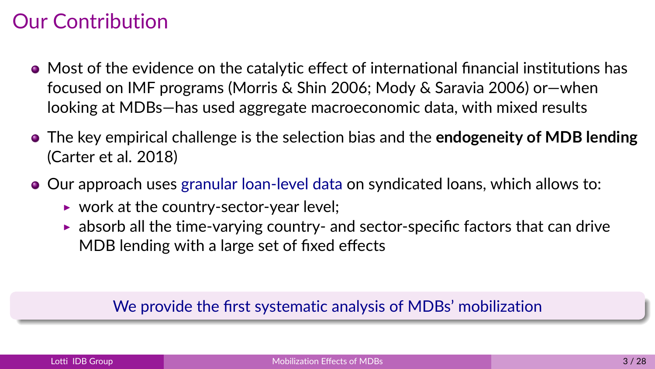## Our Contribution

- Most of the evidence on the catalytic effect of international financial institutions has focused on IMF programs (Morris & Shin 2006; Mody & Saravia 2006) or—when looking at MDBs—has used aggregate macroeconomic data, with mixed results
- The key empirical challenge is the selection bias and the **endogeneity of MDB lending** (Carter et al. 2018)
- Our approach uses granular loan-level data on syndicated loans, which allows to:
	- $\triangleright$  work at the country-sector-year level;
	- $\triangleright$  absorb all the time-varying country- and sector-specific factors that can drive MDB lending with a large set of fixed effects

#### We provide the first systematic analysis of MDBs' mobilization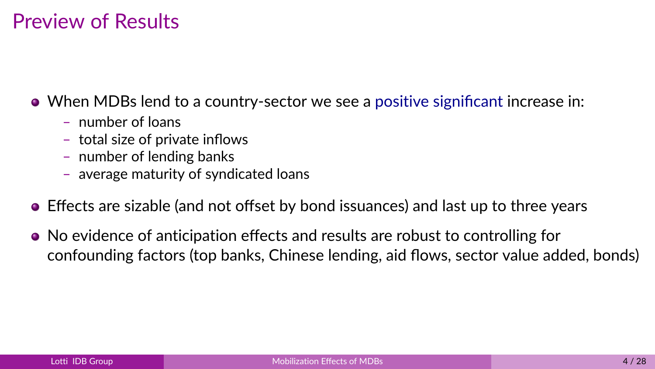## Preview of Results

When MDBs lend to a country-sector we see a positive significant increase in:

- number of loans
- total size of private inflows
- number of lending banks
- average maturity of syndicated loans
- Effects are sizable (and not offset by bond issuances) and last up to three years
- No evidence of anticipation effects and results are robust to controlling for confounding factors (top banks, Chinese lending, aid flows, sector value added, bonds)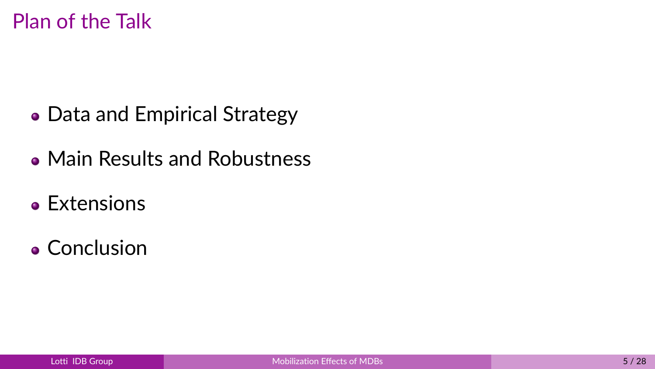Plan of the Talk

- Data and Empirical Strategy
- Main Results and Robustness
- Extensions
- Conclusion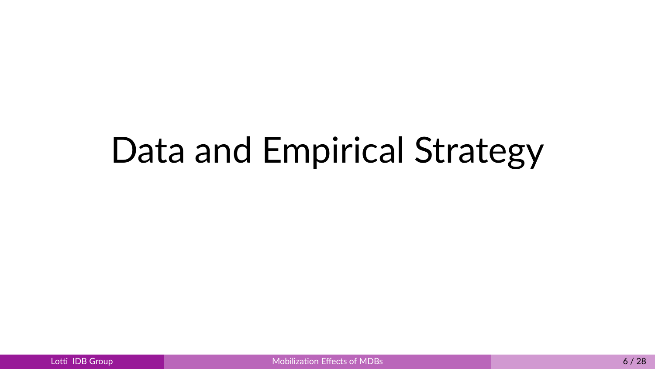# Data and Empirical Strategy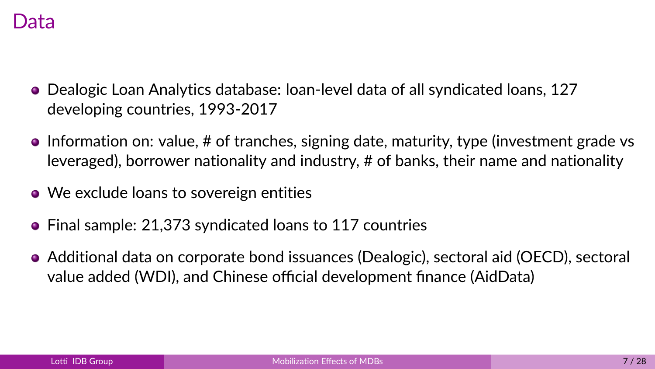- Dealogic Loan Analytics database: loan-level data of all syndicated loans, 127 developing countries, 1993-2017
- $\bullet$  Information on: value, # of tranches, signing date, maturity, type (investment grade vs leveraged), borrower nationality and industry, # of banks, their name and nationality
- We exclude loans to sovereign entities
- Final sample: 21,373 syndicated loans to 117 countries
- Additional data on corporate bond issuances (Dealogic), sectoral aid (OECD), sectoral value added (WDI), and Chinese official development finance (AidData)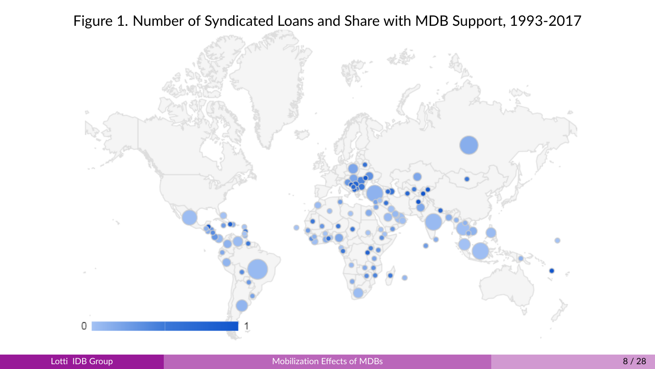

Figure 1. Number of Syndicated Loans and Share with MDB Support, 1993-2017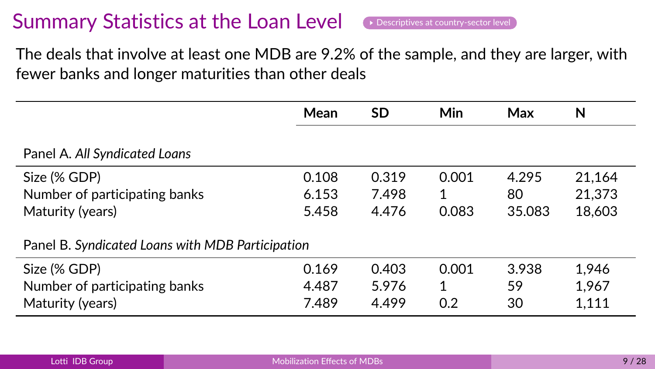## Summary Statistics at the Loan Level  $\bullet$  [Descriptives at country-sector level](#page-29-0)

<span id="page-8-0"></span>The deals that involve at least one MDB are 9.2% of the sample, and they are larger, with fewer banks and longer maturities than other deals

|                                                  | Mean  | SD    | Min   | Max    | N      |  |  |
|--------------------------------------------------|-------|-------|-------|--------|--------|--|--|
| Panel A. All Syndicated Loans                    |       |       |       |        |        |  |  |
| Size (% GDP)                                     | 0.108 | 0.319 | 0.001 | 4.295  | 21.164 |  |  |
| Number of participating banks                    | 6.153 | 7.498 | 1     | 80     | 21.373 |  |  |
| Maturity (years)                                 | 5.458 | 4.476 | 0.083 | 35.083 | 18,603 |  |  |
| Panel B. Syndicated Loans with MDB Participation |       |       |       |        |        |  |  |
| Size (% GDP)                                     | 0.169 | 0.403 | 0.001 | 3.938  | 1,946  |  |  |
| Number of participating banks                    | 4.487 | 5.976 | 1     | 59     | 1,967  |  |  |
| Maturity (years)                                 | 7.489 | 4.499 | 0.2   | 30     | 1,111  |  |  |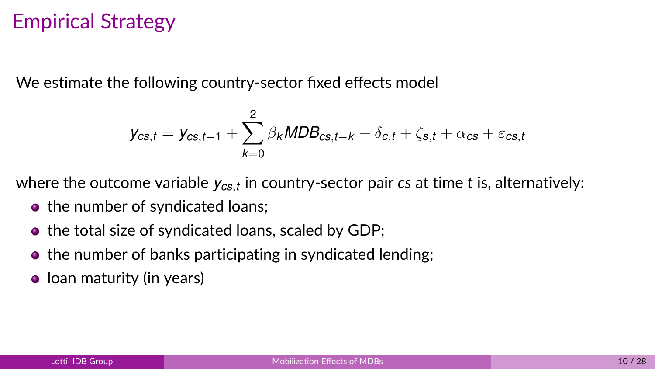## Empirical Strategy

We estimate the following country-sector fixed effects model

$$
y_{cs,t} = y_{cs,t-1} + \sum_{k=0}^{2} \beta_k MDB_{cs,t-k} + \delta_{c,t} + \zeta_{s,t} + \alpha_{cs} + \varepsilon_{cs,t}
$$

where the outcome variable *ycs*,*<sup>t</sup>* in country-sector pair *cs* at time *t* is, alternatively:

- the number of syndicated loans;
- the total size of syndicated loans, scaled by GDP;
- the number of banks participating in syndicated lending;
- **•** Ioan maturity (in years)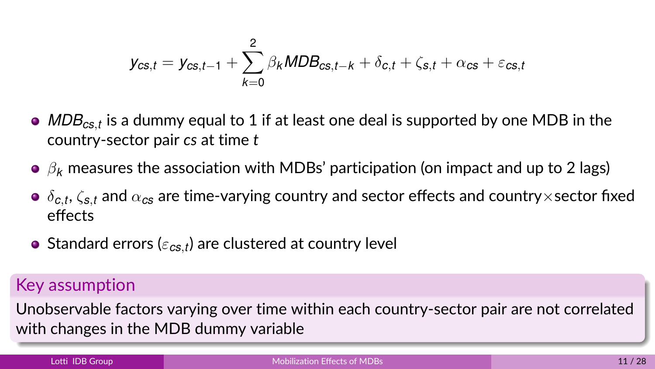$$
y_{cs,t} = y_{cs,t-1} + \sum_{k=0}^{2} \beta_k MDB_{cs,t-k} + \delta_{c,t} + \zeta_{s,t} + \alpha_{cs} + \varepsilon_{cs,t}
$$

- *MDBcs*,*<sup>t</sup>* is a dummy equal to 1 if at least one deal is supported by one MDB in the country-sector pair *cs* at time *t*
- $\theta$ <sub>k</sub> measures the association with MDBs' participation (on impact and up to 2 lags)
- $\delta_{\bm{c},t}$ ,  $\zeta_{\bm{s},t}$  and  $\alpha_{\bm{c}\bm{s}}$  are time-varying country and sector effects and country $\times$ sector fixed effects
- Standard errors ( $\varepsilon_{\textit{cs},\textit{t}}$ ) are clustered at country level

#### Key assumption

Unobservable factors varying over time within each country-sector pair are not correlated with changes in the MDB dummy variable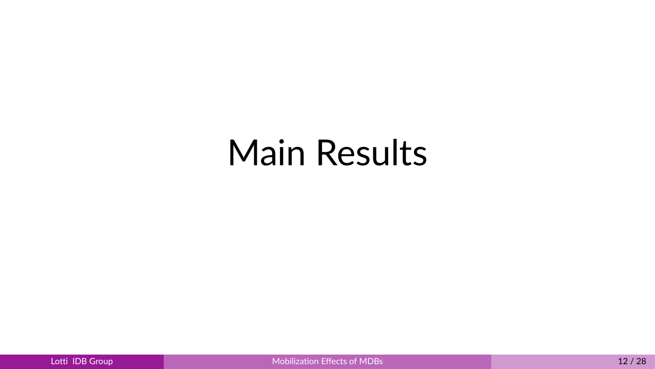# Main Results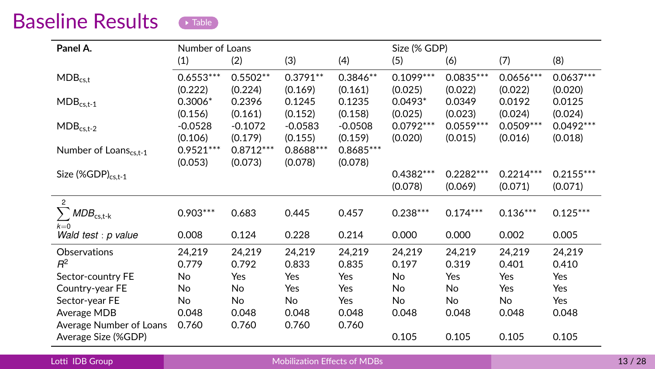### <span id="page-12-0"></span>Baseline Results **Prable**

| Panel A.                                         | Number of Loans |             |             |             | Size (% GDP) |             |             |             |
|--------------------------------------------------|-----------------|-------------|-------------|-------------|--------------|-------------|-------------|-------------|
|                                                  | (1)             | (2)         | (3)         | (4)         | (5)          | (6)         | (7)         | (8)         |
| $MDB_{c s.t}$                                    | $0.6553***$     | $0.5502**$  | $0.3791**$  | $0.3846**$  | $0.1099***$  | $0.0835***$ | $0.0656***$ | $0.0637***$ |
|                                                  | (0.222)         | (0.224)     | (0.169)     | (0.161)     | (0.025)      | (0.022)     | (0.022)     | (0.020)     |
| $\mathsf{MDB}_{\mathsf{cs},\mathsf{t}\text{-}1}$ | $0.3006*$       | 0.2396      | 0.1245      | 0.1235      | $0.0493*$    | 0.0349      | 0.0192      | 0.0125      |
|                                                  | (0.156)         | (0.161)     | (0.152)     | (0.158)     | (0.025)      | (0.023)     | (0.024)     | (0.024)     |
| $MDB_{cs.t-2}$                                   | $-0.0528$       | $-0.1072$   | $-0.0583$   | $-0.0508$   | $0.0792***$  | $0.0559***$ | $0.0509***$ | $0.0492***$ |
|                                                  | (0.106)         | (0.179)     | (0.155)     | (0.159)     | (0.020)      | (0.015)     | (0.016)     | (0.018)     |
| Number of Loans <sub>cs.t-1</sub>                | $0.9521***$     | $0.8712***$ | $0.8688***$ | $0.8685***$ |              |             |             |             |
|                                                  | (0.053)         | (0.073)     | (0.078)     | (0.078)     |              |             |             |             |
| Size $(\%GDP)_{c s,t-1}$                         |                 |             |             |             | $0.4382***$  | $0.2282***$ | $0.2214***$ | $0.2155***$ |
|                                                  |                 |             |             |             | (0.078)      | (0.069)     | (0.071)     | (0.071)     |
| $\overline{2}$                                   |                 |             |             |             |              |             |             |             |
| $MDB_{cs,t-k}$                                   | $0.903***$      | 0.683       | 0.445       | 0.457       | $0.238***$   | $0.174***$  | $0.136***$  | $0.125***$  |
| $k=0$                                            |                 |             |             |             |              |             |             |             |
| Wald test : p value                              | 0.008           | 0.124       | 0.228       | 0.214       | 0.000        | 0.000       | 0.002       | 0.005       |
| Observations                                     | 24,219          | 24,219      | 24,219      | 24,219      | 24,219       | 24,219      | 24,219      | 24,219      |
| B <sup>2</sup>                                   | 0.779           | 0.792       | 0.833       | 0.835       | 0.197        | 0.319       | 0.401       | 0.410       |
| Sector-country FE                                | No              | Yes         | Yes         | Yes         | <b>No</b>    | Yes         | Yes         | Yes         |
| Country-year FE                                  | No              | No          | Yes         | Yes         | No           | No          | Yes         | Yes         |
| Sector-year FE                                   | No              | No          | No          | Yes         | No           | No          | No          | Yes         |
| Average MDB                                      | 0.048           | 0.048       | 0.048       | 0.048       | 0.048        | 0.048       | 0.048       | 0.048       |
| Average Number of Loans                          | 0.760           | 0.760       | 0.760       | 0.760       |              |             |             |             |
| Average Size (%GDP)                              |                 |             |             |             | 0.105        | 0.105       | 0.105       | 0.105       |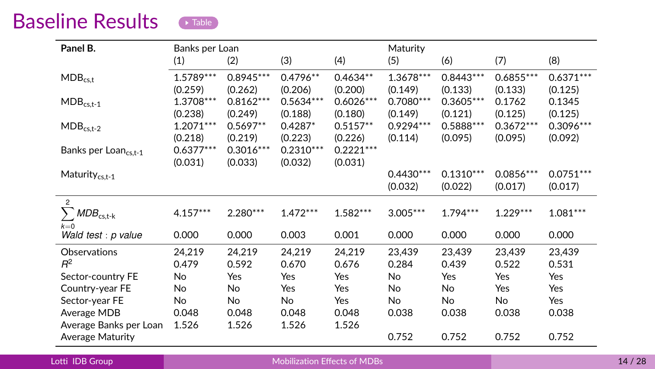### <span id="page-13-0"></span>Baseline Results **Prable**

| Panel B.                                                  | Banks per Loan         |                        |                        |                        | Maturity               |                        |                        |                        |
|-----------------------------------------------------------|------------------------|------------------------|------------------------|------------------------|------------------------|------------------------|------------------------|------------------------|
|                                                           | (1)                    | (2)                    | (3)                    | (4)                    | (5)                    | (6)                    | (7)                    | (8)                    |
| $MDB_{c s.t}$                                             | 1.5789***<br>(0.259)   | $0.8945***$<br>(0.262) | $0.4796**$<br>(0.206)  | $0.4634**$<br>(0.200)  | 1.3678***<br>(0.149)   | $0.8443***$<br>(0.133) | $0.6855***$<br>(0.133) | $0.6371***$<br>(0.125) |
| $\mathsf{MDB}_{\mathsf{cs},\mathsf{t}\text{-}1}$          | 1.3708***<br>(0.238)   | $0.8162***$<br>(0.249) | $0.5634***$<br>(0.188) | $0.6026***$<br>(0.180) | $0.7080***$<br>(0.149) | $0.3605***$<br>(0.121) | 0.1762<br>(0.125)      | 0.1345<br>(0.125)      |
| $MDB_{cs,t-2}$                                            | $1.2071***$<br>(0.218) | $0.5697**$<br>(0.219)  | $0.4287*$<br>(0.223)   | $0.5157**$<br>(0.226)  | $0.9294***$<br>(0.114) | $0.5888***$<br>(0.095) | $0.3672***$<br>(0.095) | $0.3096***$<br>(0.092) |
| Banks per Loan <sub>cs.t-1</sub>                          | $0.6377***$<br>(0.031) | $0.3016***$<br>(0.033) | $0.2310***$<br>(0.032) | $0.2221***$<br>(0.031) |                        |                        |                        |                        |
| Maturity <sub>cs.t-1</sub>                                |                        |                        |                        |                        | $0.4430***$<br>(0.032) | $0.1310***$<br>(0.022) | $0.0856***$<br>(0.017) | $0.0751***$<br>(0.017) |
| $\mathfrak{p}$<br>$\textit{MDB}_{\text{cs,t-k}}$<br>$k=0$ | $4.157***$             | $2.280***$             | $1.472***$             | $1.582***$             | $3.005***$             | $1.794***$             | $1.229***$             | $1.081***$             |
| Wald test : p value                                       | 0.000                  | 0.000                  | 0.003                  | 0.001                  | 0.000                  | 0.000                  | 0.000                  | 0.000                  |
| Observations<br>$R^2$                                     | 24,219<br>0.479        | 24,219<br>0.592        | 24,219<br>0.670        | 24,219<br>0.676        | 23,439<br>0.284        | 23,439<br>0.439        | 23,439<br>0.522        | 23,439<br>0.531        |
| Sector-country FE                                         | <b>No</b>              | Yes                    | Yes                    | Yes                    | <b>No</b>              | Yes                    | Yes                    | Yes                    |
| Country-year FE                                           | No                     | No                     | Yes                    | Yes                    | No.                    | No                     | Yes                    | Yes                    |
| Sector-year FE                                            | No                     | <b>No</b>              | No                     | Yes                    | No                     | <b>No</b>              | <b>No</b>              | Yes                    |
| Average MDB                                               | 0.048                  | 0.048                  | 0.048                  | 0.048                  | 0.038                  | 0.038                  | 0.038                  | 0.038                  |
| Average Banks per Loan<br>Average Maturity                | 1.526                  | 1.526                  | 1.526                  | 1.526                  | 0.752                  | 0.752                  | 0.752                  | 0.752                  |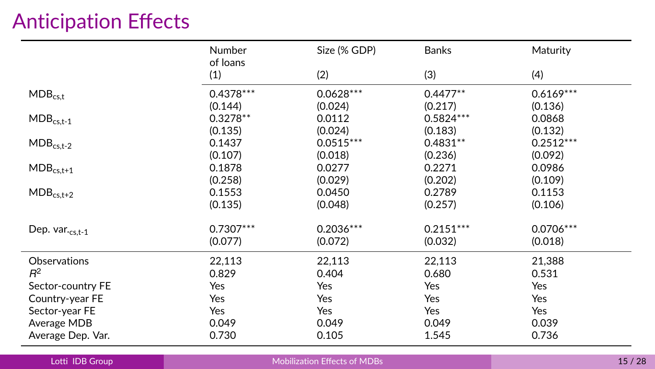## Anticipation Effects

|                     | <b>Number</b><br>of loans | Size (% GDP) | Banks       | Maturity    |
|---------------------|---------------------------|--------------|-------------|-------------|
|                     | (1)                       | (2)          | (3)         | (4)         |
| $MDB_{cs,t}$        | $0.4378***$               | $0.0628***$  | $0.4477**$  | $0.6169***$ |
|                     | (0.144)                   | (0.024)      | (0.217)     | (0.136)     |
| $MDB_{cs,t-1}$      | $0.3278**$                | 0.0112       | $0.5824***$ | 0.0868      |
|                     | (0.135)                   | (0.024)      | (0.183)     | (0.132)     |
| $MDB_{cs,t-2}$      | 0.1437                    | $0.0515***$  | $0.4831**$  | $0.2512***$ |
|                     | (0.107)                   | (0.018)      | (0.236)     | (0.092)     |
| $MDB_{cs,t+1}$      | 0.1878                    | 0.0277       | 0.2271      | 0.0986      |
|                     | (0.258)                   | (0.029)      | (0.202)     | (0.109)     |
| $MDB_{cs,t+2}$      | 0.1553                    | 0.0450       | 0.2789      | 0.1153      |
|                     | (0.135)                   | (0.048)      | (0.257)     | (0.106)     |
| Dep. $var_{cs,t-1}$ | $0.7307***$               | $0.2036***$  | $0.2151***$ | 0.0706 ***  |
|                     | (0.077)                   | (0.072)      | (0.032)     | (0.018)     |
| Observations        | 22,113                    | 22,113       | 22,113      | 21,388      |
| $R^2$               | 0.829                     | 0.404        | 0.680       | 0.531       |
| Sector-country FE   | Yes                       | Yes          | Yes         | Yes         |
| Country-year FE     | Yes                       | Yes          | Yes         | Yes         |
| Sector-year FE      | Yes                       | Yes          | Yes         | Yes         |
| Average MDB         | 0.049                     | 0.049        | 0.049       | 0.039       |
| Average Dep. Var.   | 0.730                     | 0.105        | 1.545       | 0.736       |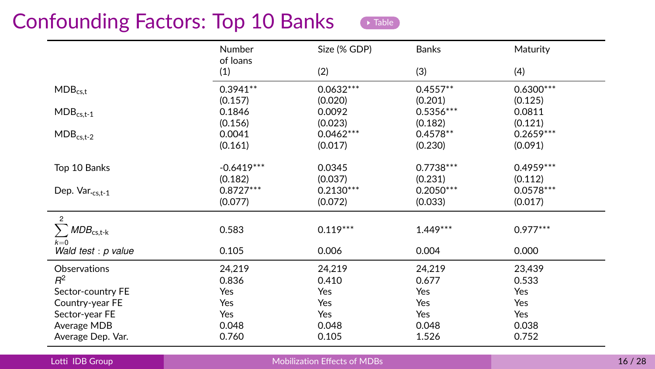## <span id="page-15-0"></span>Confounding Factors: Top 10 Banks



|                                                           | Number<br>of loans | Size (% GDP) | <b>Banks</b> | Maturity    |
|-----------------------------------------------------------|--------------------|--------------|--------------|-------------|
|                                                           | (1)                | (2)          | (3)          | (4)         |
| $MDB_{cs.t}$                                              | $0.3941**$         | $0.0632***$  | $0.4557**$   | $0.6300***$ |
|                                                           | (0.157)            | (0.020)      | (0.201)      | (0.125)     |
| $MDB_{cs,t-1}$                                            | 0.1846             | 0.0092       | $0.5356***$  | 0.0811      |
|                                                           | (0.156)            | (0.023)      | (0.182)      | (0.121)     |
| $\mathsf{MDB}_{\mathsf{cs},\mathsf{t}\text{-}\mathsf{2}}$ | 0.0041             | $0.0462***$  | $0.4578**$   | $0.2659***$ |
|                                                           | (0.161)            | (0.017)      | (0.230)      | (0.091)     |
| Top 10 Banks                                              | $-0.6419***$       | 0.0345       | $0.7738***$  | $0.4959***$ |
|                                                           | (0.182)            | (0.037)      | (0.231)      | (0.112)     |
| Dep. Var. $_{cst-1}$                                      | $0.8727***$        | $0.2130***$  | $0.2050***$  | $0.0578***$ |
|                                                           | (0.077)            | (0.072)      | (0.033)      | (0.017)     |
| $\overline{2}$<br>$\textit{MDB}_{\text{cs,t-k}}$<br>$k=0$ | 0.583              | $0.119***$   | $1.449***$   | $0.977***$  |
| Wald test : p value                                       | 0.105              | 0.006        | 0.004        | 0.000       |
| Observations                                              | 24,219             | 24,219       | 24,219       | 23,439      |
| $R^2$                                                     | 0.836              | 0.410        | 0.677        | 0.533       |
| Sector-country FE                                         | Yes                | Yes          | Yes          | Yes         |
| Country-year FE                                           | Yes                | Yes          | Yes          | Yes         |
| Sector-year FE                                            | Yes                | Yes          | Yes          | Yes         |
| Average MDB                                               | 0.048              | 0.048        | 0.048        | 0.038       |
| Average Dep. Var.                                         | 0.760              | 0.105        | 1.526        | 0.752       |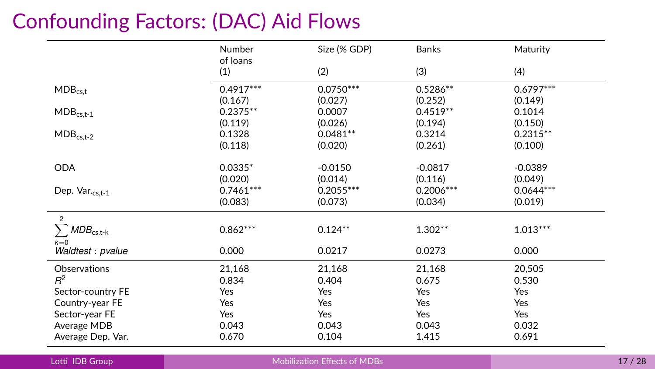## Confounding Factors: (DAC) Aid Flows

|                                                           | Number          | Size (% GDP) | <b>Banks</b> | Maturity    |
|-----------------------------------------------------------|-----------------|--------------|--------------|-------------|
|                                                           | of loans<br>(1) | (2)          | (3)          | (4)         |
| $MDB_{cs,t}$                                              | $0.4917***$     | $0.0750***$  | $0.5286**$   | $0.6797***$ |
|                                                           | (0.167)         | (0.027)      | (0.252)      | (0.149)     |
| $\mathsf{MDB}_{\mathsf{cs},\mathsf{t}\text{-}\mathsf{1}}$ | $0.2375**$      | 0.0007       | $0.4519**$   | 0.1014      |
|                                                           | (0.119)         | (0.026)      | (0.194)      | (0.150)     |
| $\mathsf{MDB}_{\mathsf{cs},\mathsf{t}\text{-}\mathsf{2}}$ | 0.1328          | $0.0481**$   | 0.3214       | $0.2315**$  |
|                                                           | (0.118)         | (0.020)      | (0.261)      | (0.100)     |
| <b>ODA</b>                                                | $0.0335*$       | $-0.0150$    | $-0.0817$    | $-0.0389$   |
|                                                           | (0.020)         | (0.014)      | (0.116)      | (0.049)     |
| Dep. Var.cs.t-1                                           | $0.7461***$     | $0.2055***$  | $0.2006***$  | $0.0644***$ |
|                                                           | (0.083)         | (0.073)      | (0.034)      | (0.019)     |
| $\overline{c}$                                            |                 |              |              |             |
| $\textit{MDB}_{\text{cs,t-k}}$                            | $0.862***$      | $0.124**$    | $1.302**$    | $1.013***$  |
| $k=0$<br>Waldtest: pvalue                                 | 0.000           | 0.0217       | 0.0273       | 0.000       |
| Observations                                              | 21,168          | 21,168       | 21,168       | 20,505      |
| $R^2$                                                     | 0.834           | 0.404        | 0.675        | 0.530       |
| Sector-country FE                                         | Yes             | Yes          | Yes          | Yes         |
| Country-year FE                                           | Yes             | Yes          | Yes          | Yes         |
| Sector-year FE                                            | Yes             | Yes          | Yes          | Yes         |
| Average MDB                                               | 0.043           | 0.043        | 0.043        | 0.032       |
| Average Dep. Var.                                         | 0.670           | 0.104        | 1.415        | 0.691       |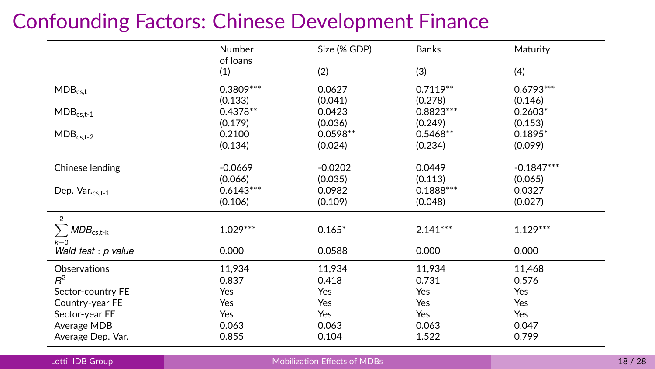## Confounding Factors: Chinese Development Finance

|                                                           | Number          | Size (% GDP) | <b>Banks</b> | Maturity     |
|-----------------------------------------------------------|-----------------|--------------|--------------|--------------|
|                                                           | of loans<br>(1) | (2)          | (3)          | (4)          |
| $MDB_{cst}$                                               | $0.3809***$     | 0.0627       | $0.7119**$   | $0.6793***$  |
|                                                           | (0.133)         | (0.041)      | (0.278)      | (0.146)      |
| $MDB_{cs.t-1}$                                            | $0.4378**$      | 0.0423       | $0.8823***$  | $0.2603*$    |
|                                                           | (0.179)         | (0.036)      | (0.249)      | (0.153)      |
| $\mathsf{MDB}_{\mathsf{cs},\mathsf{t}\text{-}\mathsf{2}}$ | 0.2100          | $0.0598**$   | $0.5468**$   | $0.1895*$    |
|                                                           | (0.134)         | (0.024)      | (0.234)      | (0.099)      |
| Chinese lending                                           | $-0.0669$       | $-0.0202$    | 0.0449       | $-0.1847***$ |
|                                                           | (0.066)         | (0.035)      | (0.113)      | (0.065)      |
| Dep. Var.cs.t-1                                           | $0.6143***$     | 0.0982       | $0.1888***$  | 0.0327       |
|                                                           | (0.106)         | (0.109)      | (0.048)      | (0.027)      |
| $\overline{2}$                                            |                 |              |              |              |
| $\textit{MDB}_{\text{cs,t-k}}$                            | $1.029***$      | $0.165*$     | $2.141***$   | $1.129***$   |
| $k=0$<br>Wald test : p value                              | 0.000           | 0.0588       | 0.000        | 0.000        |
| Observations                                              | 11,934          | 11,934       | 11,934       | 11,468       |
| $R^2$                                                     | 0.837           | 0.418        | 0.731        | 0.576        |
| Sector-country FE                                         | Yes             | Yes          | Yes          | Yes          |
| Country-year FE                                           | Yes             | Yes          | Yes          | Yes          |
| Sector-year FE                                            | Yes             | Yes          | Yes          | Yes          |
| Average MDB                                               | 0.063           | 0.063        | 0.063        | 0.047        |
| Average Dep. Var.                                         | 0.855           | 0.104        | 1.522        | 0.799        |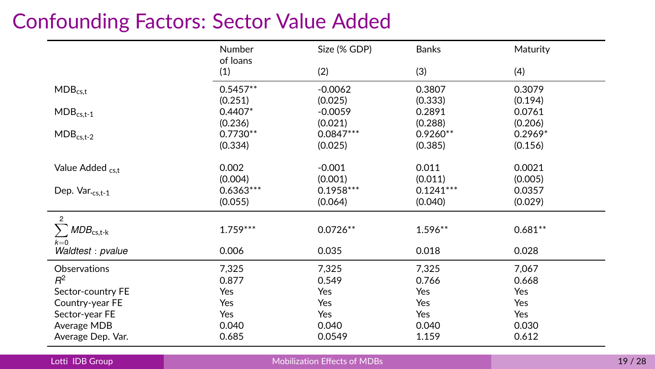## Confounding Factors: Sector Value Added

|                                                           | Number                 | Size (% GDP)           | <b>Banks</b>           | Maturity              |
|-----------------------------------------------------------|------------------------|------------------------|------------------------|-----------------------|
|                                                           | of loans<br>(1)        | (2)                    | (3)                    | (4)                   |
| $MDB_{cs.t}$                                              | $0.5457**$             | $-0.0062$              | 0.3807                 | 0.3079                |
| $MDB_{cs,t-1}$                                            | (0.251)<br>$0.4407*$   | (0.025)<br>$-0.0059$   | (0.333)<br>0.2891      | (0.194)<br>0.0761     |
|                                                           | (0.236)                | (0.021)                | (0.288)                | (0.206)               |
| $\mathsf{MDB}_{\mathsf{cs},\mathsf{t}\text{-}\mathsf{2}}$ | $0.7730**$<br>(0.334)  | $0.0847***$<br>(0.025) | $0.9260**$<br>(0.385)  | $0.2969*$<br>(0.156)  |
| Value Added cs.t                                          | 0.002<br>(0.004)       | $-0.001$<br>(0.001)    | 0.011<br>(0.011)       | 0.0021<br>(0.005)     |
| Dep. Var.cs.t-1                                           | $0.6363***$<br>(0.055) | $0.1958***$<br>(0.064) | $0.1241***$<br>(0.040) | 0.0357<br>(0.029)     |
| $\overline{2}$<br>$\textit{MDB}_{\text{cs,t-k}}$<br>$k=0$ | $1.759***$             | $0.0726**$             | $1.596**$              | $0.681**$             |
| Waldtest: pvalue                                          | 0.006                  | 0.035                  | 0.018                  | 0.028                 |
| Observations<br>$R^2$<br>Sector-country FE                | 7,325<br>0.877<br>Yes  | 7,325<br>0.549<br>Yes  | 7,325<br>0.766<br>Yes  | 7,067<br>0.668<br>Yes |
| Country-year FE                                           | Yes                    | Yes                    | Yes                    | Yes                   |
| Sector-year FE<br>Average MDB<br>Average Dep. Var.        | Yes<br>0.040<br>0.685  | Yes<br>0.040<br>0.0549 | Yes<br>0.040<br>1.159  | Yes<br>0.030<br>0.612 |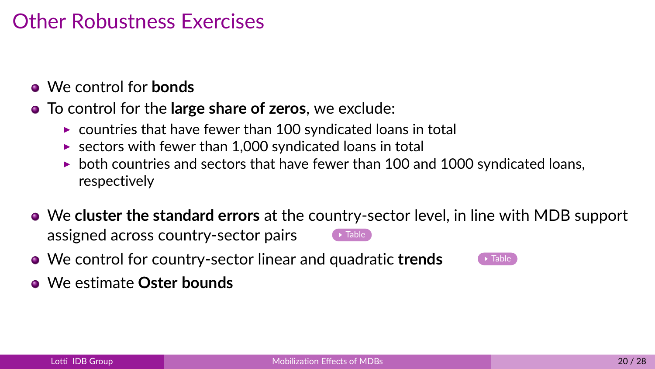## Other Robustness Exercises

- <span id="page-19-0"></span>We control for **bonds**
- To control for the **large share of zeros**, we exclude:
	- $\triangleright$  countries that have fewer than 100 syndicated loans in total
	- $\triangleright$  sectors with fewer than 1,000 syndicated loans in total
	- $\triangleright$  both countries and sectors that have fewer than 100 and 1000 syndicated loans, respectively
- We **cluster the standard errors** at the country-sector level, in line with MDB support assigned across country-sector pairs  $\bullet$  [Table](#page-34-0)
- **We control for country-sector linear and quadratic trends**
- We estimate **Oster bounds**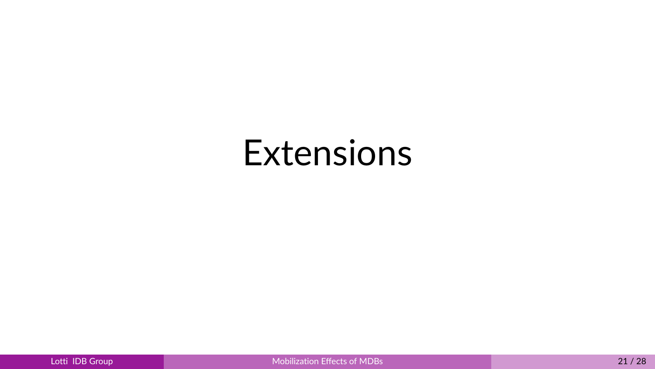# Extensions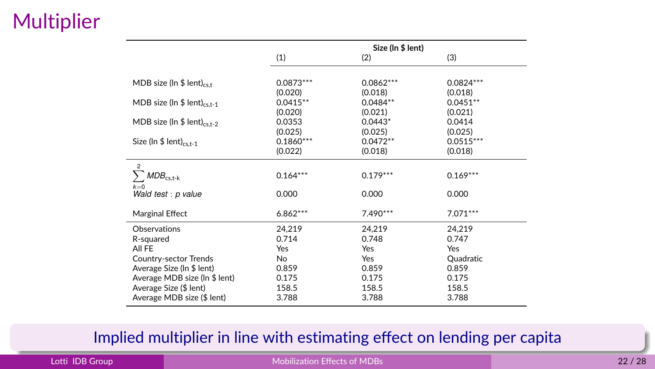## **Multiplier**

|                                          |             | Size (In \$ lent) |             |  |
|------------------------------------------|-------------|-------------------|-------------|--|
|                                          | (1)         | (2)               | (3)         |  |
| MDB size ( $\ln$ \$ lent) <sub>cst</sub> | 0.0873***   | 0.0862***         | $0.0824***$ |  |
|                                          | (0.020)     | (0.018)           | (0.018)     |  |
| MDB size (In $$$ lent) <sub>cs.t-1</sub> | $0.0415**$  | $0.0484**$        | $0.0451**$  |  |
|                                          | (0.020)     | (0.021)           | (0.021)     |  |
| MDB size (In \$ lent) <sub>cs.t-2</sub>  | 0.0353      | $0.0443*$         | 0.0414      |  |
|                                          | (0.025)     | (0.025)           | (0.025)     |  |
| Size (In $$$ lent) <sub>cs.t-1</sub>     | $0.1860***$ | $0.0472**$        | $0.0515***$ |  |
|                                          | (0.022)     | (0.018)           | (0.018)     |  |
| $\mathcal{P}$                            |             |                   |             |  |
| $MDB_{cs,t-k}$                           | $0.164***$  | $0.179***$        | $0.169***$  |  |
| $k=0$                                    |             |                   |             |  |
| Wald test : p value                      | 0.000       | 0.000             | 0.000       |  |
| Marginal Effect                          | $6.862***$  | 7.490***          | 7.071***    |  |
| Observations                             | 24,219      | 24,219            | 24,219      |  |
| R-squared                                | 0.714       | 0.748             | 0.747       |  |
| All FE                                   | Yes         | Yes               | Yes         |  |
| Country-sector Trends                    | No          | Yes               | Quadratic   |  |
| Average Size (In \$ lent)                | 0.859       | 0.859             | 0.859       |  |
| Average MDB size (In \$ lent)            | 0.175       | 0.175             | 0.175       |  |
| Average Size (\$ lent)                   | 158.5       | 158.5             | 158.5       |  |
| Average MDB size (\$ lent)               | 3.788       | 3.788             | 3.788       |  |

#### Implied multiplier in line with estimating effect on lending per capita

#### **Lotti IDB Group 22/28 [Mobilization Effects of MDBs](#page-0-0)** 22/28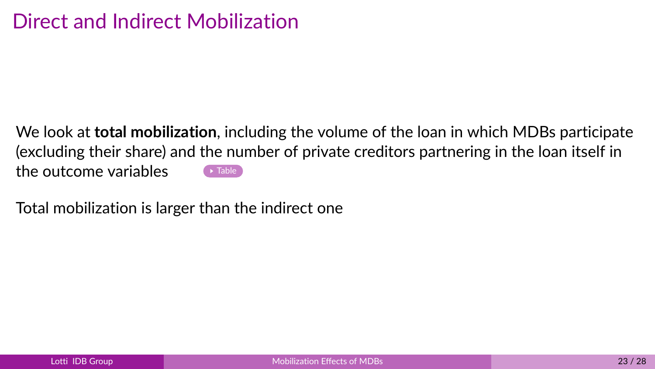<span id="page-22-0"></span>We look at **total mobilization**, including the volume of the loan in which MDBs participate (excluding their share) and the number of private creditors partnering in the loan itself in the outcome variables  $\bullet$  [Table](#page-35-0)

Total mobilization is larger than the indirect one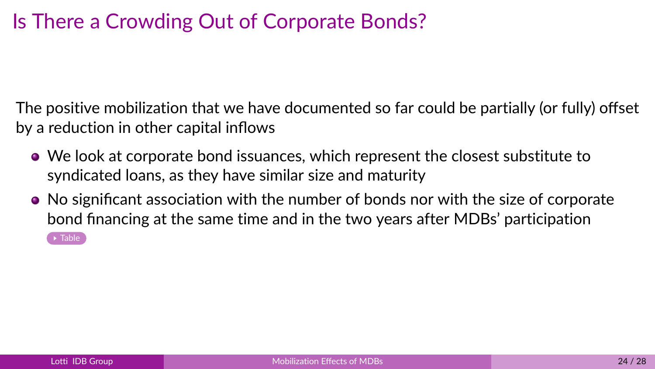## Is There a Crowding Out of Corporate Bonds?

<span id="page-23-0"></span>The positive mobilization that we have documented so far could be partially (or fully) offset by a reduction in other capital inflows

- We look at corporate bond issuances, which represent the closest substitute to syndicated loans, as they have similar size and maturity
- No significant association with the number of bonds nor with the size of corporate bond financing at the same time and in the two years after MDBs' participation  $\rightarrow$  [Table](#page-40-0)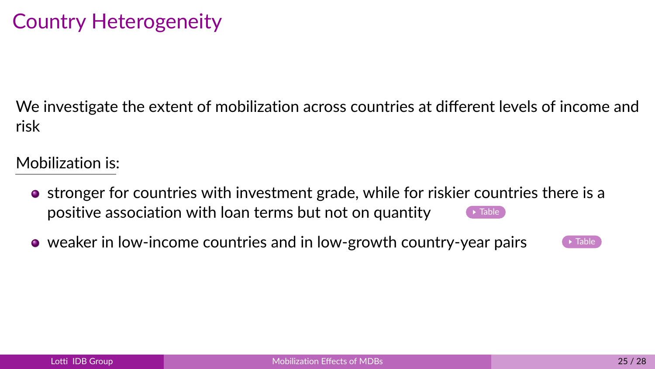## Country Heterogeneity

<span id="page-24-0"></span>We investigate the extent of mobilization across countries at different levels of income and risk

Mobilization is:

- stronger for countries with investment grade, while for riskier countries there is a positive association with loan terms but not on quantity  $\qquad \qquad \bullet$  [Table](#page-41-0)
- $\bullet$  weaker in low-income countries and in low-growth country-year pairs  $\bullet$  [Table](#page-42-1)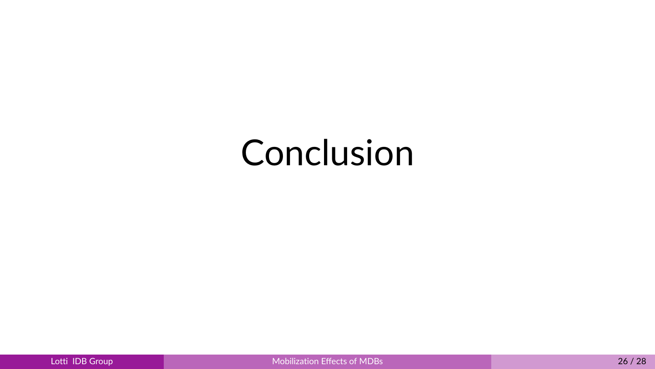# Conclusion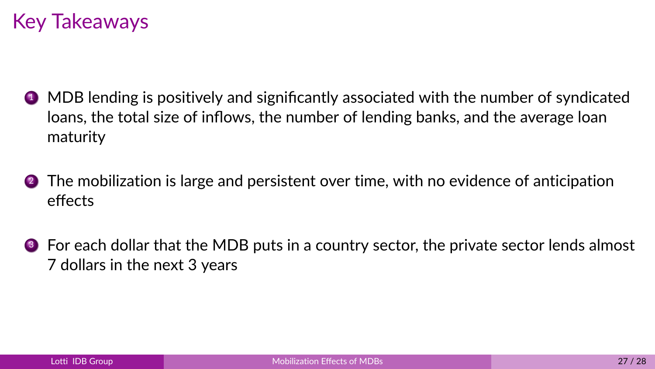## Key Takeaways

- **1** MDB lending is positively and significantly associated with the number of syndicated loans, the total size of inflows, the number of lending banks, and the average loan maturity
- 2 The mobilization is large and persistent over time, with no evidence of anticipation effects
- <sup>3</sup> For each dollar that the MDB puts in a country sector, the private sector lends almost 7 dollars in the next 3 years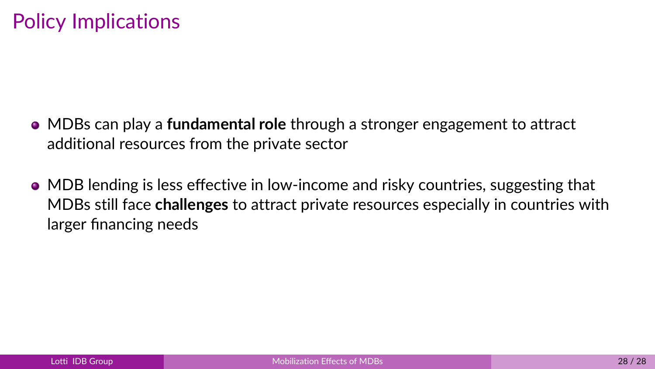- MDBs can play a **fundamental role** through a stronger engagement to attract additional resources from the private sector
- MDB lending is less effective in low-income and risky countries, suggesting that MDBs still face **challenges** to attract private resources especially in countries with larger financing needs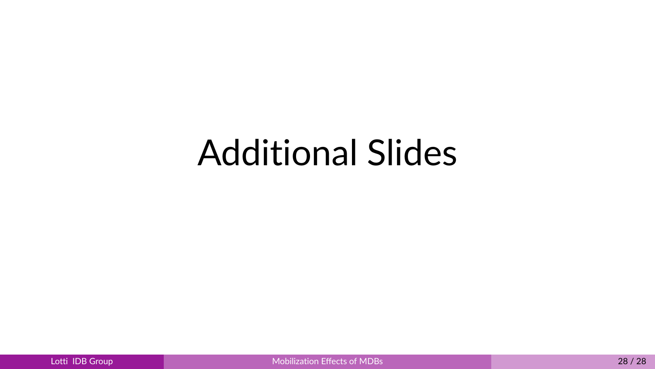# Additional Slides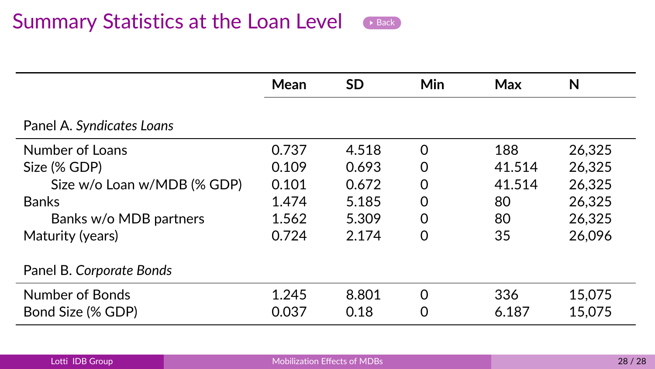<span id="page-29-0"></span>

|                             | Mean  | <b>SD</b> | <b>Min</b> | Max    | N      |
|-----------------------------|-------|-----------|------------|--------|--------|
| Panel A. Syndicates Loans   |       |           |            |        |        |
| Number of Loans             | 0.737 | 4.518     | 0          | 188    | 26.325 |
| Size (% GDP)                | 0.109 | 0.693     | 0          | 41.514 | 26.325 |
| Size w/o Loan w/MDB (% GDP) | 0.101 | 0.672     | 0          | 41.514 | 26.325 |
| <b>Banks</b>                | 1.474 | 5.185     | 0          | 80     | 26.325 |
| Banks w/o MDB partners      | 1.562 | 5.309     | 0          | 80     | 26.325 |
| Maturity (years)            | 0.724 | 2.174     | 0          | 35     | 26.096 |
| Panel B. Corporate Bonds    |       |           |            |        |        |
| Number of Bonds             | 1.245 | 8.801     | $\Omega$   | 336    | 15,075 |
| Bond Size (% GDP)           | 0.037 | 0.18      | O          | 6.187  | 15,075 |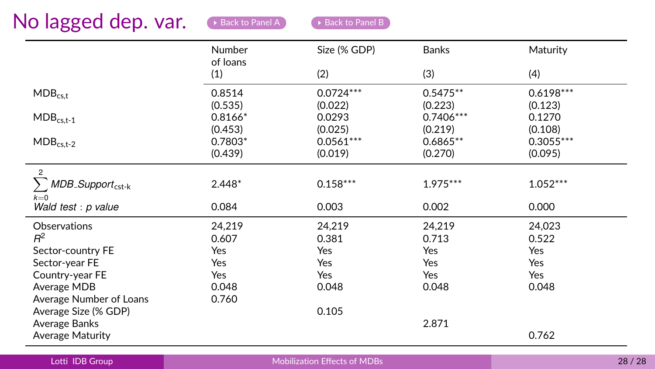<span id="page-30-0"></span>

|                                                           | Number<br>of loans | Size (% GDP) | <b>Banks</b> | Maturity    |
|-----------------------------------------------------------|--------------------|--------------|--------------|-------------|
|                                                           | (1)                | (2)          | (3)          | (4)         |
| $MDB_{c s.t}$                                             | 0.8514             | $0.0724***$  | $0.5475**$   | $0.6198***$ |
|                                                           | (0.535)            | (0.022)      | (0.223)      | (0.123)     |
| $\mathsf{MDB}_{\mathsf{cs},\mathsf{t}\text{-}\mathsf{1}}$ | $0.8166*$          | 0.0293       | 0.7406***    | 0.1270      |
|                                                           | (0.453)            | (0.025)      | (0.219)      | (0.108)     |
| $MDB_{cs,t-2}$                                            | $0.7803*$          | $0.0561***$  | $0.6865**$   | $0.3055***$ |
|                                                           | (0.439)            | (0.019)      | (0.270)      | (0.095)     |
| $\overline{2}$                                            |                    |              |              |             |
| MDB_Support <sub>cst-k</sub>                              | $2.448*$           | $0.158***$   | $1.975***$   | $1.052***$  |
| $k=0$<br>Wald test : p value                              | 0.084              | 0.003        | 0.002        | 0.000       |
| Observations                                              | 24,219             | 24,219       | 24,219       | 24,023      |
| $R^2$                                                     | 0.607              | 0.381        | 0.713        | 0.522       |
| Sector-country FE                                         | Yes                | Yes          | Yes          | Yes         |
| Sector-year FE                                            | Yes                | Yes          | Yes          | Yes         |
| Country-year FE                                           | Yes                | Yes          | Yes          | Yes         |
| Average MDB                                               | 0.048              | 0.048        | 0.048        | 0.048       |
| Average Number of Loans                                   | 0.760              |              |              |             |
|                                                           |                    | 0.105        |              |             |
| Average Size (% GDP)                                      |                    |              |              |             |
| Average Banks                                             |                    |              | 2.871        |             |
| Average Maturity                                          |                    |              |              | 0.762       |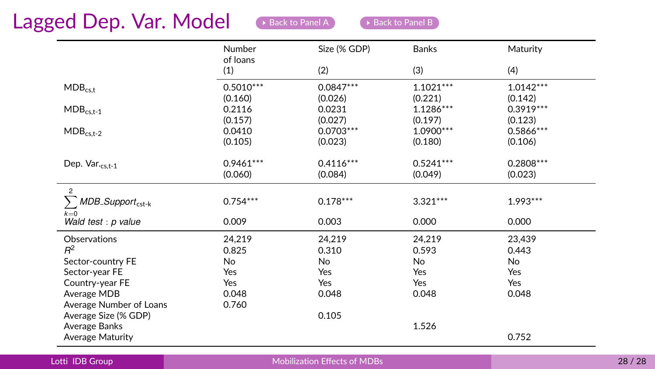### Lagged Dep. Var. Model  $\bullet$  [Back to Panel A](#page-12-0) [Back to Panel B](#page-13-0)

|                                      | Number<br>of loans | Size (% GDP) | <b>Banks</b> | Maturity    |  |
|--------------------------------------|--------------------|--------------|--------------|-------------|--|
|                                      | (1)                | (2)          | (3)          | (4)         |  |
| $MDB_{cs,t}$                         | $0.5010***$        | $0.0847***$  | $1.1021***$  | $1.0142***$ |  |
|                                      | (0.160)            | (0.026)      | (0.221)      | (0.142)     |  |
| $MDB_{cs,t-1}$                       | 0.2116             | 0.0231       | $1.1286***$  | $0.3919***$ |  |
|                                      | (0.157)            | (0.027)      | (0.197)      | (0.123)     |  |
| $MDB_{cs,t-2}$                       | 0.0410             | $0.0703***$  | 1.0900***    | $0.5866***$ |  |
|                                      | (0.105)            | (0.023)      | (0.180)      | (0.106)     |  |
| Dep. Var.cs.t-1                      | $0.9461***$        | $0.4116***$  | $0.5241***$  | $0.2808***$ |  |
|                                      | (0.060)            | (0.084)      | (0.049)      | (0.023)     |  |
| $\mathfrak{p}$                       |                    |              |              |             |  |
| У<br>$MDB$ _Support <sub>cst-k</sub> | $0.754***$         | $0.178***$   | $3.321***$   | $1.993***$  |  |
| $k=0$<br>Wald test : p value         | 0.009              | 0.003        | 0.000        | 0.000       |  |
| Observations                         | 24,219             | 24,219       | 24,219       | 23,439      |  |
| $R^2$                                | 0.825              | 0.310        | 0.593        | 0.443       |  |
| Sector-country FE                    | No                 | <b>No</b>    | No           | No          |  |
| Sector-year FE                       | Yes                | Yes          | Yes          | Yes         |  |
| Country-year FE                      | Yes                | Yes          | Yes          | Yes         |  |
| Average MDB                          | 0.048              | 0.048        | 0.048        | 0.048       |  |
| Average Number of Loans              | 0.760              |              |              |             |  |
| Average Size (% GDP)                 |                    | 0.105        |              |             |  |
| Average Banks                        |                    |              | 1.526        |             |  |
| <b>Average Maturity</b>              |                    |              |              | 0.752       |  |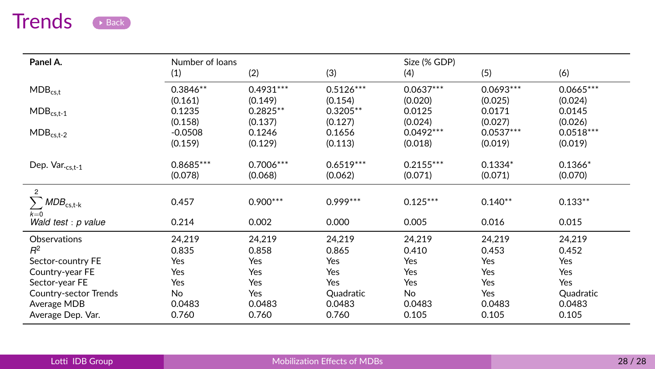## Trends **[Back](#page-19-0)**

<span id="page-32-0"></span>

| Panel A.                                                  | Number of loans<br>(1) | (2)         | (3)         | Size (% GDP)<br>(4) | (5)         | (6)         |
|-----------------------------------------------------------|------------------------|-------------|-------------|---------------------|-------------|-------------|
| $MDB_{c s.t}$                                             | $0.3846**$             | $0.4931***$ | $0.5126***$ | $0.0637***$         | $0.0693***$ | $0.0665***$ |
|                                                           | (0.161)                | (0.149)     | (0.154)     | (0.020)             | (0.025)     | (0.024)     |
| $\mathsf{MDB}_{\mathsf{cs,t}\text{-}\mathsf{1}}$          | 0.1235                 | $0.2825**$  | $0.3205**$  | 0.0125              | 0.0171      | 0.0145      |
|                                                           | (0.158)                | (0.137)     | (0.127)     | (0.024)             | (0.027)     | (0.026)     |
| $MDB_{cs.t-2}$                                            | $-0.0508$              | 0.1246      | 0.1656      | $0.0492***$         | $0.0537***$ | $0.0518***$ |
|                                                           | (0.159)                | (0.129)     | (0.113)     | (0.018)             | (0.019)     | (0.019)     |
| Dep. Var.cs.t-1                                           | $0.8685***$            | $0.7006***$ | $0.6519***$ | $0.2155***$         | $0.1334*$   | $0.1366*$   |
|                                                           | (0.078)                | (0.068)     | (0.062)     | (0.071)             | (0.071)     | (0.070)     |
| $\overline{c}$<br>$\textit{MDB}_{\text{cs,t-k}}$<br>$k=0$ | 0.457                  | $0.900***$  | $0.999***$  | $0.125***$          | $0.140**$   | $0.133**$   |
| Wald test : p value                                       | 0.214                  | 0.002       | 0.000       | 0.005               | 0.016       | 0.015       |
| Observations                                              | 24,219                 | 24,219      | 24,219      | 24,219              | 24,219      | 24,219      |
| $R^2$                                                     | 0.835                  | 0.858       | 0.865       | 0.410               | 0.453       | 0.452       |
| Sector-country FE                                         | Yes                    | Yes         | Yes         | Yes                 | Yes         | Yes         |
| Country-year FE                                           | Yes                    | Yes         | Yes         | Yes                 | Yes         | Yes         |
| Sector-year FE                                            | Yes                    | Yes         | Yes         | Yes                 | Yes         | Yes         |
| Country-sector Trends                                     | No                     | Yes         | Quadratic   | No                  | Yes         | Quadratic   |
| Average MDB                                               | 0.0483                 | 0.0483      | 0.0483      | 0.0483              | 0.0483      | 0.0483      |
| Average Dep. Var.                                         | 0.760                  | 0.760       | 0.760       | 0.105               | 0.105       | 0.105       |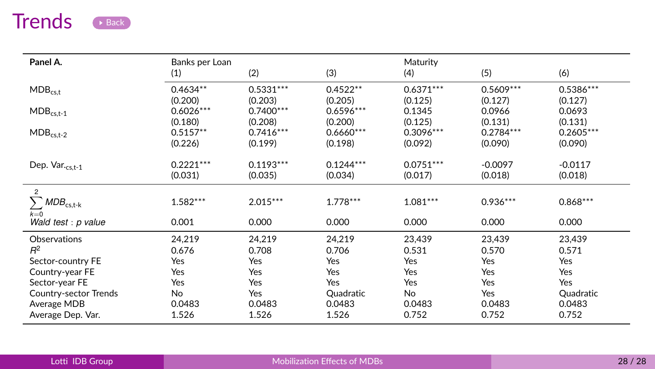## Trends **[Back](#page-19-0)**

| Panel A.                                                  | Banks per Loan<br>(1) | (2)               | (3)                          | Maturity<br>(4)  | (5)               | (6)                          |
|-----------------------------------------------------------|-----------------------|-------------------|------------------------------|------------------|-------------------|------------------------------|
| $MDB_{c s.t}$                                             | $0.4634**$            | $0.5331***$       | $0.4522**$                   | $0.6371***$      | $0.5609***$       | $0.5386***$                  |
|                                                           | (0.200)               | (0.203)           | (0.205)                      | (0.125)          | (0.127)           | (0.127)                      |
| $\mathsf{MDB}_{\mathsf{cs},\mathsf{t}\text{-}\mathsf{1}}$ | $0.6026***$           | $0.7400***$       | $0.6596***$                  | 0.1345           | 0.0966            | 0.0693                       |
|                                                           | (0.180)               | (0.208)           | (0.200)                      | (0.125)          | (0.131)           | (0.131)                      |
| $MDB_{cs.t-2}$                                            | $0.5157**$            | $0.7416***$       | $0.6660***$                  | $0.3096***$      | $0.2784***$       | $0.2605***$                  |
|                                                           | (0.226)               | (0.199)           | (0.198)                      | (0.092)          | (0.090)           | (0.090)                      |
| Dep. Var.cs.t-1                                           | $0.2221***$           | $0.1193***$       | $0.1244***$                  | $0.0751***$      | $-0.0097$         | $-0.0117$                    |
|                                                           | (0.031)               | (0.035)           | (0.034)                      | (0.017)          | (0.018)           | (0.018)                      |
| $\overline{c}$<br>$\sum MDB_{\text{cs,t-k}}$<br>$k=0$     | $1.582***$            | $2.015***$        | $1.778***$                   | $1.081***$       | $0.936***$        | $0.868***$                   |
| Wald test : p value                                       | 0.001                 | 0.000             | 0.000                        | 0.000            | 0.000             | 0.000                        |
| Observations                                              | 24,219                | 24,219            | 24,219                       | 23,439           | 23,439            | 23,439                       |
| $R^2$                                                     | 0.676                 | 0.708             | 0.706                        | 0.531            | 0.570             | 0.571                        |
| Sector-country FE                                         | Yes                   | Yes               | Yes                          | Yes              | Yes               | Yes                          |
| Country-year FE<br>Sector-year FE                         | Yes<br>Yes<br>No      | Yes<br>Yes<br>Yes | Yes<br>Yes                   | Yes<br>Yes<br>No | Yes<br>Yes<br>Yes | Yes<br>Yes                   |
| Country-sector Trends<br>Average MDB<br>Average Dep. Var. | 0.0483<br>1.526       | 0.0483<br>1.526   | Quadratic<br>0.0483<br>1.526 | 0.0483<br>0.752  | 0.0483<br>0.752   | Quadratic<br>0.0483<br>0.752 |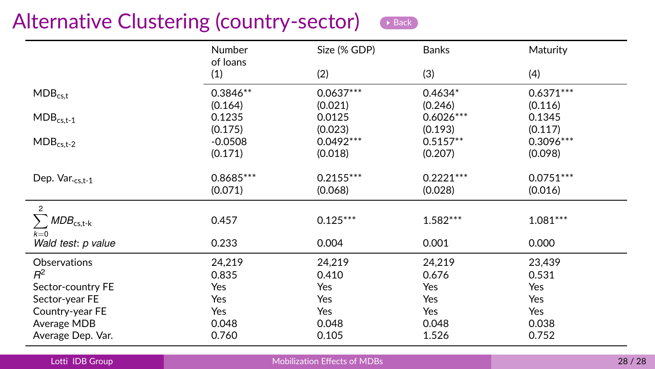## Alternative Clustering (country-sector) [Back](#page-19-0)



<span id="page-34-0"></span>

|                                                           | <b>Number</b><br>of loans       | Size (% GDP)                      | <b>Banks</b>                     | Maturity                          |
|-----------------------------------------------------------|---------------------------------|-----------------------------------|----------------------------------|-----------------------------------|
|                                                           | (1)                             | (2)                               | (3)                              | (4)                               |
| $MDB_{c s.t}$                                             | $0.3846**$                      | $0.0637***$                       | 0.4634*<br>(0.246)               | $0.6371***$<br>(0.116)            |
| $\mathsf{MDB}_{\mathsf{cs},\mathsf{t}\text{-}\mathsf{1}}$ | (0.164)<br>0.1235               | (0.021)<br>0.0125                 | $0.6026***$                      | 0.1345                            |
| $MDB_{cs,t-2}$                                            | (0.175)<br>$-0.0508$<br>(0.171) | (0.023)<br>$0.0492***$<br>(0.018) | (0.193)<br>$0.5157**$<br>(0.207) | (0.117)<br>$0.3096***$<br>(0.098) |
| Dep. Var.cs,t-1                                           | $0.8685***$<br>(0.071)          | $0.2155***$<br>(0.068)            | $0.2221***$<br>(0.028)           | $0.0751***$<br>(0.016)            |
| $\overline{2}$<br>$\textit{MDB}_\text{cs,t-k}$<br>$k=0$   | 0.457                           | $0.125***$                        | $1.582***$                       | $1.081***$                        |
| Wald test: p value                                        | 0.233                           | 0.004                             | 0.001                            | 0.000                             |
| Observations<br>$R^2$                                     | 24,219<br>0.835                 | 24,219<br>0.410                   | 24,219<br>0.676                  | 23,439<br>0.531                   |
| Sector-country FE<br>Sector-year FE<br>Country-year FE    | Yes<br>Yes<br>Yes               | Yes<br>Yes<br>Yes                 | Yes<br>Yes<br>Yes                | Yes<br>Yes<br>Yes                 |
| Average MDB<br>Average Dep. Var.                          | 0.048<br>0.760                  | 0.048<br>0.105                    | 0.048<br>1.526                   | 0.038<br>0.752                    |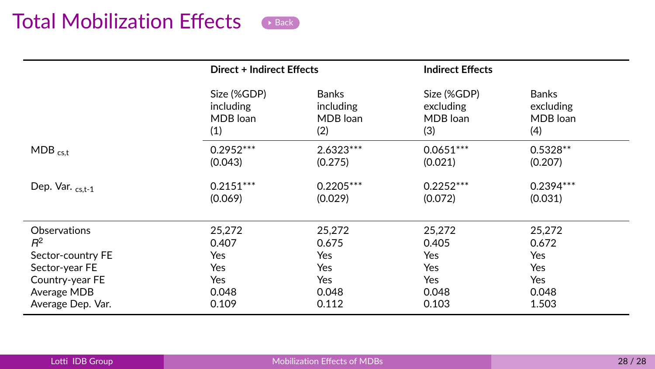## Total Mobilization Effects **[Back](#page-22-0)**

<span id="page-35-0"></span>

|                   | Direct + Indirect Effects                   |                                              | <b>Indirect Effects</b>                     |                                              |
|-------------------|---------------------------------------------|----------------------------------------------|---------------------------------------------|----------------------------------------------|
|                   | Size (%GDP)<br>including<br>MDB loan<br>(1) | <b>Banks</b><br>including<br>MDB loan<br>(2) | Size (%GDP)<br>excluding<br>MDB loan<br>(3) | <b>Banks</b><br>excluding<br>MDB loan<br>(4) |
| $MDB_{c s,t}$     | $0.2952***$<br>(0.043)                      | $2.6323***$<br>(0.275)                       | $0.0651***$<br>(0.021)                      | $0.5328**$<br>(0.207)                        |
| Dep. Var. cs,t-1  | $0.2151***$<br>(0.069)                      | $0.2205***$<br>(0.029)                       | $0.2252***$<br>(0.072)                      | $0.2394***$<br>(0.031)                       |
| Observations      | 25,272                                      | 25,272                                       | 25,272                                      | 25,272                                       |
| $R^2$             | 0.407                                       | 0.675                                        | 0.405                                       | 0.672                                        |
| Sector-country FE | Yes                                         | Yes                                          | Yes                                         | Yes                                          |
| Sector-year FE    | Yes                                         | <b>Yes</b>                                   | Yes                                         | <b>Yes</b>                                   |
| Country-year FE   | Yes                                         | Yes                                          | Yes                                         | Yes                                          |
| Average MDB       | 0.048                                       | 0.048                                        | 0.048                                       | 0.048                                        |
| Average Dep. Var. | 0.109                                       | 0.112                                        | 0.103                                       | 1.503                                        |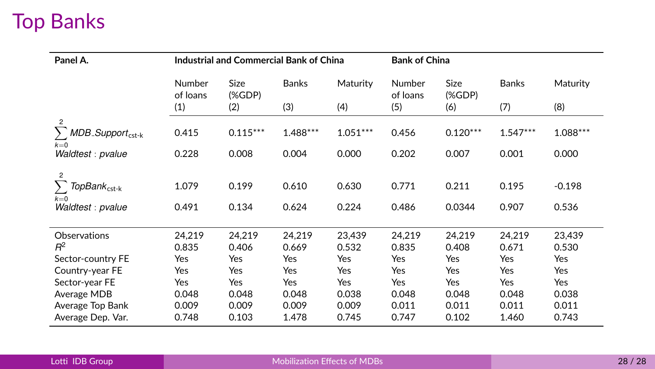# <span id="page-36-0"></span>Top Banks

| Panel A.                                           |                    | <b>Industrial and Commercial Bank of China</b> |              |            | <b>Bank of China</b> |              |              |           |
|----------------------------------------------------|--------------------|------------------------------------------------|--------------|------------|----------------------|--------------|--------------|-----------|
|                                                    | Number<br>of loans | Size<br>(%D)                                   | <b>Banks</b> | Maturity   | Number<br>of loans   | Size<br>(%D) | <b>Banks</b> | Maturity  |
|                                                    | (1)                | (2)                                            | (3)          | (4)        | (5)                  | (6)          | (7)          | (8)       |
| $\mathfrak{p}$                                     |                    |                                                |              |            |                      |              |              |           |
| $MDB$ <sub>-Support<sub>cst-k</sub></sub><br>$k=0$ | 0.415              | $0.115***$                                     | 1.488***     | $1.051***$ | 0.456                | $0.120***$   | $1.547***$   | 1.088 *** |
| Waldtest: pvalue                                   | 0.228              | 0.008                                          | 0.004        | 0.000      | 0.202                | 0.007        | 0.001        | 0.000     |
| $\overline{c}$                                     |                    |                                                |              |            |                      |              |              |           |
| TopBank <sub>cst-k</sub>                           | 1.079              | 0.199                                          | 0.610        | 0.630      | 0.771                | 0.211        | 0.195        | $-0.198$  |
| $k=0$<br>Waldtest: pvalue                          | 0.491              | 0.134                                          | 0.624        | 0.224      | 0.486                | 0.0344       | 0.907        | 0.536     |
|                                                    |                    |                                                |              |            |                      |              |              |           |
| Observations                                       | 24,219             | 24,219                                         | 24,219       | 23,439     | 24,219               | 24,219       | 24,219       | 23,439    |
| B <sup>2</sup>                                     | 0.835              | 0.406                                          | 0.669        | 0.532      | 0.835                | 0.408        | 0.671        | 0.530     |
| Sector-country FE                                  | Yes                | Yes                                            | Yes          | Yes        | Yes                  | Yes          | Yes          | Yes       |
| Country-year FE                                    | Yes                | Yes                                            | Yes          | Yes        | Yes                  | Yes          | Yes          | Yes       |
| Sector-year FE                                     | Yes                | Yes                                            | Yes          | Yes        | Yes                  | Yes          | Yes          | Yes       |
| Average MDB                                        | 0.048              | 0.048                                          | 0.048        | 0.038      | 0.048                | 0.048        | 0.048        | 0.038     |
| Average Top Bank                                   | 0.009              | 0.009                                          | 0.009        | 0.009      | 0.011                | 0.011        | 0.011        | 0.011     |
| Average Dep. Var.                                  | 0.748              | 0.103                                          | 1.478        | 0.745      | 0.747                | 0.102        | 1.460        | 0.743     |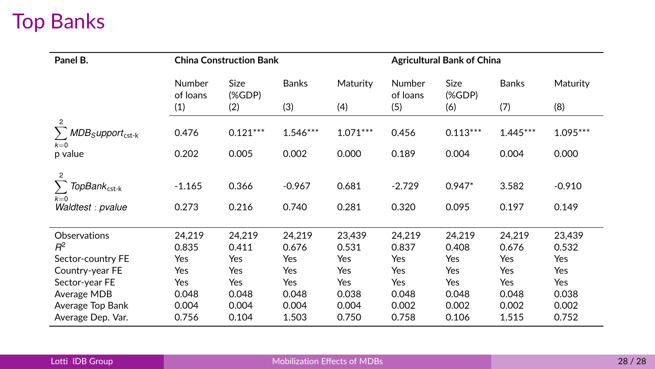# Top Banks

| Panel B.                                   |                    | <b>China Construction Bank</b> |              |            |                    | <b>Agricultural Bank of China</b> |              |            |  |  |
|--------------------------------------------|--------------------|--------------------------------|--------------|------------|--------------------|-----------------------------------|--------------|------------|--|--|
|                                            | Number<br>of loans | Size<br>(%D)                   | <b>Banks</b> | Maturity   | Number<br>of loans | Size<br>(%D)                      | <b>Banks</b> | Maturity   |  |  |
|                                            | (1)                | (2)                            | (3)          | (4)        | (5)                | (6)                               | (7)          | (8)        |  |  |
| $\overline{c}$                             |                    |                                |              |            |                    |                                   |              |            |  |  |
| $MDB$ <sub>S</sub> upport <sub>cst-k</sub> | 0.476              | $0.121***$                     | $1.546***$   | $1.071***$ | 0.456              | $0.113***$                        | $1.445***$   | $1.095***$ |  |  |
| $k=0$<br>p value                           | 0.202              | 0.005                          | 0.002        | 0.000      | 0.189              | 0.004                             | 0.004        | 0.000      |  |  |
|                                            |                    |                                |              |            |                    |                                   |              |            |  |  |
| $\overline{c}$<br>TopBank <sub>cst-k</sub> | $-1.165$           | 0.366                          | $-0.967$     | 0.681      | $-2.729$           | $0.947*$                          | 3.582        | $-0.910$   |  |  |
| $k=0$                                      |                    |                                |              |            |                    |                                   |              |            |  |  |
| Waldtest : pvalue                          | 0.273              | 0.216                          | 0.740        | 0.281      | 0.320              | 0.095                             | 0.197        | 0.149      |  |  |
|                                            |                    |                                |              |            |                    |                                   |              |            |  |  |
| Observations                               | 24,219             | 24.219                         | 24,219       | 23,439     | 24,219             | 24.219                            | 24.219       | 23,439     |  |  |
| $R^2$                                      | 0.835              | 0.411                          | 0.676        | 0.531      | 0.837              | 0.408                             | 0.676        | 0.532      |  |  |
| Sector-country FE                          | Yes                | Yes                            | Yes          | Yes        | Yes                | Yes                               | Yes          | Yes        |  |  |
| Country-year FE                            | Yes                | Yes                            | Yes          | <b>Yes</b> | Yes                | Yes                               | Yes          | Yes        |  |  |
| Sector-year FE                             | Yes                | Yes                            | Yes          | Yes        | Yes                | Yes                               | Yes          | Yes        |  |  |
| Average MDB                                | 0.048              | 0.048                          | 0.048        | 0.038      | 0.048              | 0.048                             | 0.048        | 0.038      |  |  |
| Average Top Bank                           | 0.004              | 0.004                          | 0.004        | 0.004      | 0.002              | 0.002                             | 0.002        | 0.002      |  |  |
| Average Dep. Var.                          | 0.756              | 0.104                          | 1.503        | 0.750      | 0.758              | 0.106                             | 1.515        | 0.752      |  |  |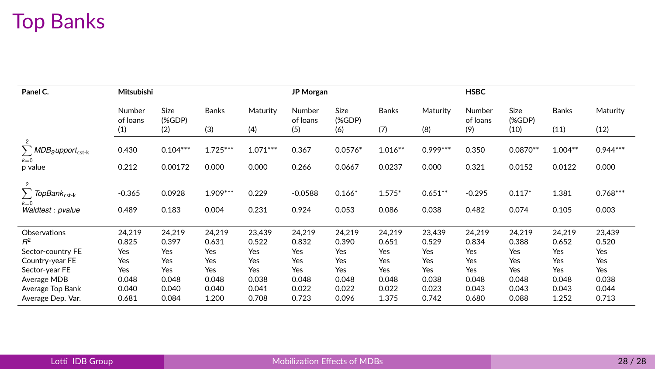# Top Banks

| Panel C.                                                                        | Mitsubishi         |                 |                     |                | JP Morgan          |                   |                   |                    | <b>HSBC</b>        |                   |                |                     |
|---------------------------------------------------------------------------------|--------------------|-----------------|---------------------|----------------|--------------------|-------------------|-------------------|--------------------|--------------------|-------------------|----------------|---------------------|
|                                                                                 | Number<br>of loans | Size<br>(%D)    | <b>Banks</b>        | Maturity       | Number<br>of loans | Size<br>(%        | <b>Banks</b>      | Maturity           | Number<br>of loans | Size<br>(%)       | Banks          | Maturity            |
|                                                                                 | (1)                | (2)             | (3)                 | (4)            | (5)                | (6)               | (7)               | (8)                | (9)                | (10)              | (11)           | (12)                |
| $\overline{2}$<br>$\sum$ MDB <sub>S</sub> upport <sub>cst-k</sub><br>$k=0$      | 0.430              | $0.104***$      | $1.725***$          | $1.071***$     | 0.367              | $0.0576*$         | $1.016**$         | $0.999***$         | 0.350              | $0.0870**$        | $1.004**$      | $0.944***$          |
| p value                                                                         | 0.212              | 0.00172         | 0.000               | 0.000          | 0.266              | 0.0667            | 0.0237            | 0.000              | 0.321              | 0.0152            | 0.0122         | 0.000               |
| $\overline{2}$<br>$\sum$ TopBank <sub>cst-k</sub><br>$k=0$<br>Waldtest : pvalue | $-0.365$<br>0.489  | 0.0928<br>0.183 | $1.909***$<br>0.004 | 0.229<br>0.231 | $-0.0588$<br>0.924 | $0.166*$<br>0.053 | $1.575*$<br>0.086 | $0.651**$<br>0.038 | $-0.295$<br>0.482  | $0.117*$<br>0.074 | 1.381<br>0.105 | $0.768***$<br>0.003 |
| Observations                                                                    | 24,219             | 24,219          | 24.219              | 23.439         | 24,219             | 24.219            | 24,219            | 23.439             | 24,219             | 24,219            | 24,219         | 23,439              |
| $R^2$                                                                           | 0.825              | 0.397           | 0.631               | 0.522          | 0.832              | 0.390             | 0.651             | 0.529              | 0.834              | 0.388             | 0.652          | 0.520               |
| Sector-country FE                                                               | Yes                | Yes             | Yes                 | Yes            | Yes                | Yes               | Yes               | Yes                | Yes                | Yes               | Yes            | Yes                 |
| Country-year FE                                                                 | Yes                | Yes             | Yes                 | Yes            | Yes                | Yes               | Yes               | Yes                | Yes                | Yes               | Yes            | Yes                 |
| Sector-year FE                                                                  | Yes<br>0.048       | Yes<br>0.048    | Yes<br>0.048        | Yes<br>0.038   | Yes<br>0.048       | Yes<br>0.048      | Yes<br>0.048      | Yes<br>0.038       | Yes<br>0.048       | Yes<br>0.048      | Yes<br>0.048   | Yes<br>0.038        |
| Average MDB<br>Average Top Bank                                                 | 0.040              | 0.040           | 0.040               | 0.041          | 0.022              | 0.022             | 0.022             | 0.023              | 0.043              | 0.043             | 0.043          | 0.044               |
| Average Dep. Var.                                                               | 0.681              | 0.084           | 1.200               | 0.708          | 0.723              | 0.096             | 1.375             | 0.742              | 0.680              | 0.088             | 1.252          | 0.713               |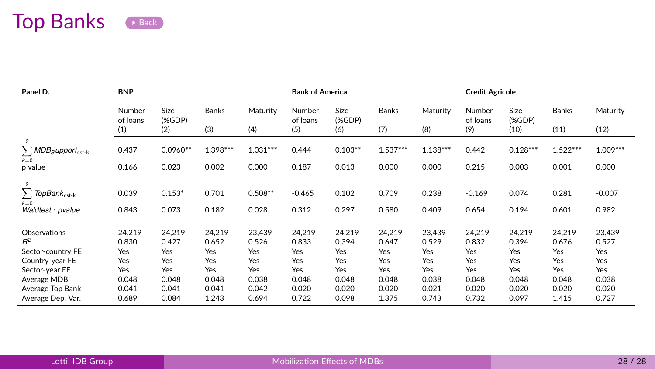## Top Banks [Back](#page-15-0)

| Panel D.                                                                        | <b>BNP</b>         |                   |                |                    | <b>Bank of America</b> |                |                |                | <b>Credit Agricole</b> |                |                |                   |
|---------------------------------------------------------------------------------|--------------------|-------------------|----------------|--------------------|------------------------|----------------|----------------|----------------|------------------------|----------------|----------------|-------------------|
|                                                                                 | Number<br>of loans | Size<br>(%)       | <b>Banks</b>   | Maturity           | Number<br>of loans     | Size<br>(%D)   | <b>Banks</b>   | Maturity       | Number<br>of loans     | Size<br>(%)    | Banks          | Maturity          |
|                                                                                 | (1)                | (2)               | (3)            | (4)                | (5)                    | (6)            | (7)            | (8)            | (9)                    | (10)           | (11)           | (12)              |
| $\overline{2}$<br>$\sum$ MDB <sub>S</sub> upport <sub>cst-k</sub><br>$k=0$      | 0.437              | $0.0960**$        | 1.398***       | $1.031***$         | 0.444                  | $0.103**$      | $1.537***$     | $1.138***$     | 0.442                  | $0.128***$     | $1.522***$     | $1.009***$        |
| p value                                                                         | 0.166              | 0.023             | 0.002          | 0.000              | 0.187                  | 0.013          | 0.000          | 0.000          | 0.215                  | 0.003          | 0.001          | 0.000             |
| $\overline{2}$<br>$\sum$ TopBank <sub>cst-k</sub><br>$k=0$<br>Waldtest : pvalue | 0.039<br>0.843     | $0.153*$<br>0.073 | 0.701<br>0.182 | $0.508**$<br>0.028 | $-0.465$<br>0.312      | 0.102<br>0.297 | 0.709<br>0.580 | 0.238<br>0.409 | $-0.169$<br>0.654      | 0.074<br>0.194 | 0.281<br>0.601 | $-0.007$<br>0.982 |
| Observations                                                                    | 24,219             | 24.219            | 24.219         | 23.439             | 24,219                 | 24,219         | 24,219         | 23.439         | 24,219                 | 24.219         | 24.219         | 23,439            |
| $R^2$                                                                           | 0.830              | 0.427             | 0.652          | 0.526              | 0.833                  | 0.394          | 0.647          | 0.529          | 0.832                  | 0.394          | 0.676          | 0.527             |
| Sector-country FE                                                               | Yes                | Yes               | Yes            | Yes                | Yes                    | Yes            | Yes            | Yes            | Yes                    | Yes            | Yes            | Yes               |
| Country-year FE                                                                 | Yes                | Yes               | Yes            | Yes                | Yes                    | Yes            | Yes            | Yes            | Yes                    | Yes            | Yes            | Yes               |
| Sector-year FE                                                                  | Yes                | Yes               | Yes            | Yes                | Yes                    | Yes            | Yes            | Yes            | Yes                    | Yes            | Yes            | Yes               |
| Average MDB                                                                     | 0.048              | 0.048             | 0.048          | 0.038              | 0.048                  | 0.048          | 0.048          | 0.038          | 0.048                  | 0.048          | 0.048          | 0.038             |
| Average Top Bank<br>Average Dep. Var.                                           | 0.041<br>0.689     | 0.041<br>0.084    | 0.041<br>1.243 | 0.042<br>0.694     | 0.020<br>0.722         | 0.020<br>0.098 | 0.020<br>1.375 | 0.021<br>0.743 | 0.020<br>0.732         | 0.020<br>0.097 | 0.020<br>1.415 | 0.020<br>0.727    |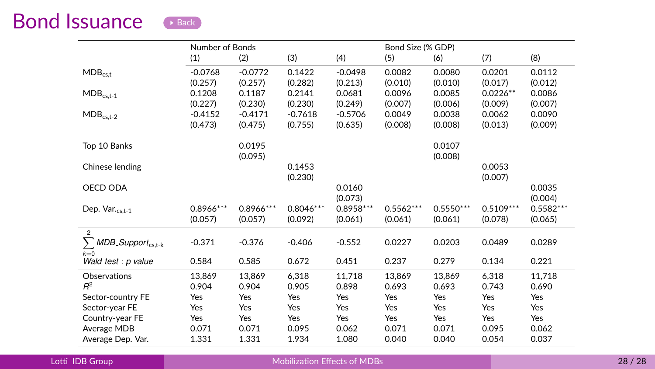<span id="page-40-0"></span>

|                                             | Number of Bonds |            |             |            |             | Bond Size (% GDP) |             |             |  |  |
|---------------------------------------------|-----------------|------------|-------------|------------|-------------|-------------------|-------------|-------------|--|--|
|                                             | (1)             | (2)        | (3)         | (4)        | (5)         | (6)               | (7)         | (8)         |  |  |
| $MDB_{c s.t}$                               | $-0.0768$       | $-0.0772$  | 0.1422      | $-0.0498$  | 0.0082      | 0.0080            | 0.0201      | 0.0112      |  |  |
|                                             | (0.257)         | (0.257)    | (0.282)     | (0.213)    | (0.010)     | (0.010)           | (0.017)     | (0.012)     |  |  |
| $MDB_{cs,t-1}$                              | 0.1208          | 0.1187     | 0.2141      | 0.0681     | 0.0096      | 0.0085            | $0.0226**$  | 0.0086      |  |  |
|                                             | (0.227)         | (0.230)    | (0.230)     | (0.249)    | (0.007)     | (0.006)           | (0.009)     | (0.007)     |  |  |
| $MDB_{cs,t-2}$                              | $-0.4152$       | $-0.4171$  | $-0.7618$   | $-0.5706$  | 0.0049      | 0.0038            | 0.0062      | 0.0090      |  |  |
|                                             | (0.473)         | (0.475)    | (0.755)     | (0.635)    | (0.008)     | (0.008)           | (0.013)     | (0.009)     |  |  |
| Top 10 Banks                                |                 | 0.0195     |             |            |             | 0.0107            |             |             |  |  |
|                                             |                 | (0.095)    |             |            |             | (0.008)           |             |             |  |  |
| Chinese lending                             |                 |            | 0.1453      |            |             |                   | 0.0053      |             |  |  |
|                                             |                 |            | (0.230)     |            |             |                   | (0.007)     |             |  |  |
| OECD ODA                                    |                 |            |             | 0.0160     |             |                   |             | 0.0035      |  |  |
|                                             |                 |            |             | (0.073)    |             |                   |             | (0.004)     |  |  |
| Dep. Var.cs,t-1                             | 0.8966 ***      | 0.8966 *** | $0.8046***$ | 0.8958 *** | $0.5562***$ | $0.5550***$       | $0.5109***$ | $0.5582***$ |  |  |
|                                             | (0.057)         | (0.057)    | (0.092)     | (0.061)    | (0.061)     | (0.061)           | (0.078)     | (0.065)     |  |  |
| $\overline{2}$                              |                 |            |             |            |             |                   |             |             |  |  |
| Σ<br>MDB_Support <sub>cs,t-k</sub><br>$k=0$ | $-0.371$        | $-0.376$   | $-0.406$    | $-0.552$   | 0.0227      | 0.0203            | 0.0489      | 0.0289      |  |  |
| Wald test : p value                         | 0.584           | 0.585      | 0.672       | 0.451      | 0.237       | 0.279             | 0.134       | 0.221       |  |  |
| Observations                                | 13,869          | 13.869     | 6,318       | 11,718     | 13.869      | 13,869            | 6,318       | 11,718      |  |  |
| $R^2$                                       | 0.904           | 0.904      | 0.905       | 0.898      | 0.693       | 0.693             | 0.743       | 0.690       |  |  |
| Sector-country FE                           | Yes             | Yes        | Yes         | Yes        | Yes         | Yes               | Yes         | Yes         |  |  |
| Sector-year FE                              | Yes             | Yes        | Yes         | Yes        | Yes         | Yes               | Yes         | Yes         |  |  |
| Country-year FE                             | Yes             | Yes        | Yes         | Yes        | Yes         | Yes               | Yes         | Yes         |  |  |
| Average MDB                                 | 0.071           | 0.071      | 0.095       | 0.062      | 0.071       | 0.071             | 0.095       | 0.062       |  |  |
| Average Dep. Var.                           | 1.331           | 1.331      | 1.934       | 1.080      | 0.040       | 0.040             | 0.054       | 0.037       |  |  |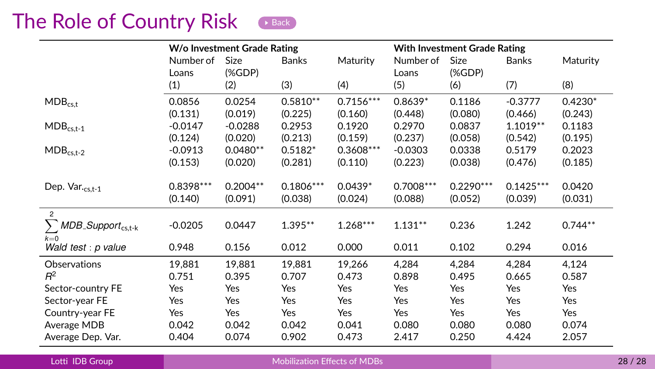## <span id="page-41-0"></span>The Role of Country Risk [Back](#page-24-0)

|                                       |             | W/o Investment Grade Rating |             |             | <b>With Investment Grade Rating</b> |             |              |           |  |
|---------------------------------------|-------------|-----------------------------|-------------|-------------|-------------------------------------|-------------|--------------|-----------|--|
|                                       | Number of   | <b>Size</b>                 | Banks       | Maturity    | Number of                           | Size        | <b>Banks</b> | Maturity  |  |
|                                       | Loans       | (%                          |             |             | Loans                               | (%          |              |           |  |
|                                       | (1)         | (2)                         | (3)         | (4)         | (5)                                 | (6)         | (7)          | (8)       |  |
| $MDB_{c s.t}$                         | 0.0856      | 0.0254                      | $0.5810**$  | $0.7156***$ | $0.8639*$                           | 0.1186      | $-0.3777$    | $0.4230*$ |  |
|                                       | (0.131)     | (0.019)                     | (0.225)     | (0.160)     | (0.448)                             | (0.080)     | (0.466)      | (0.243)   |  |
| $MDB_{cs,t-1}$                        | $-0.0147$   | $-0.0288$                   | 0.2953      | 0.1920      | 0.2970                              | 0.0837      | $1.1019**$   | 0.1183    |  |
|                                       | (0.124)     | (0.020)                     | (0.213)     | (0.159)     | (0.237)                             | (0.058)     | (0.542)      | (0.195)   |  |
| $MDB_{cs,t-2}$                        | $-0.0913$   | $0.0480**$                  | $0.5182*$   | $0.3608***$ | $-0.0303$                           | 0.0338      | 0.5179       | 0.2023    |  |
|                                       | (0.153)     | (0.020)                     | (0.281)     | (0.110)     | (0.223)                             | (0.038)     | (0.476)      | (0.185)   |  |
|                                       |             |                             |             |             |                                     |             |              |           |  |
| Dep. $Var_{\text{cs.t-1}}$            | $0.8398***$ | $0.2004**$                  | $0.1806***$ | $0.0439*$   | $0.7008***$                         | $0.2290***$ | $0.1425***$  | 0.0420    |  |
|                                       | (0.140)     | (0.091)                     | (0.038)     | (0.024)     | (0.088)                             | (0.052)     | (0.039)      | (0.031)   |  |
| $\overline{2}$                        |             |                             |             |             |                                     |             |              |           |  |
| $\sum MDB$ -Support <sub>cs,t-k</sub> | $-0.0205$   | 0.0447                      | $1.395**$   | $1.268***$  | $1.131***$                          | 0.236       | 1.242        | $0.744**$ |  |
| $k=0$                                 |             |                             |             |             |                                     |             |              |           |  |
| Wald test : p value                   | 0.948       | 0.156                       | 0.012       | 0.000       | 0.011                               | 0.102       | 0.294        | 0.016     |  |
| Observations                          | 19,881      | 19.881                      | 19,881      | 19,266      | 4,284                               | 4,284       | 4,284        | 4,124     |  |
| $R^2$                                 | 0.751       | 0.395                       | 0.707       | 0.473       | 0.898                               | 0.495       | 0.665        | 0.587     |  |
| Sector-country FE                     | Yes         | Yes                         | Yes         | Yes         | Yes                                 | Yes         | Yes          | Yes       |  |
| Sector-year FE                        | Yes         | Yes                         | Yes         | Yes         | Yes                                 | Yes         | Yes          | Yes       |  |
| Country-year FE                       | Yes         | Yes                         | Yes         | Yes         | Yes                                 | Yes         | Yes          | Yes       |  |
| Average MDB                           | 0.042       | 0.042                       | 0.042       | 0.041       | 0.080                               | 0.080       | 0.080        | 0.074     |  |
| Average Dep. Var.                     | 0.404       | 0.074                       | 0.902       | 0.473       | 2.417                               | 0.250       | 4.424        | 2.057     |  |